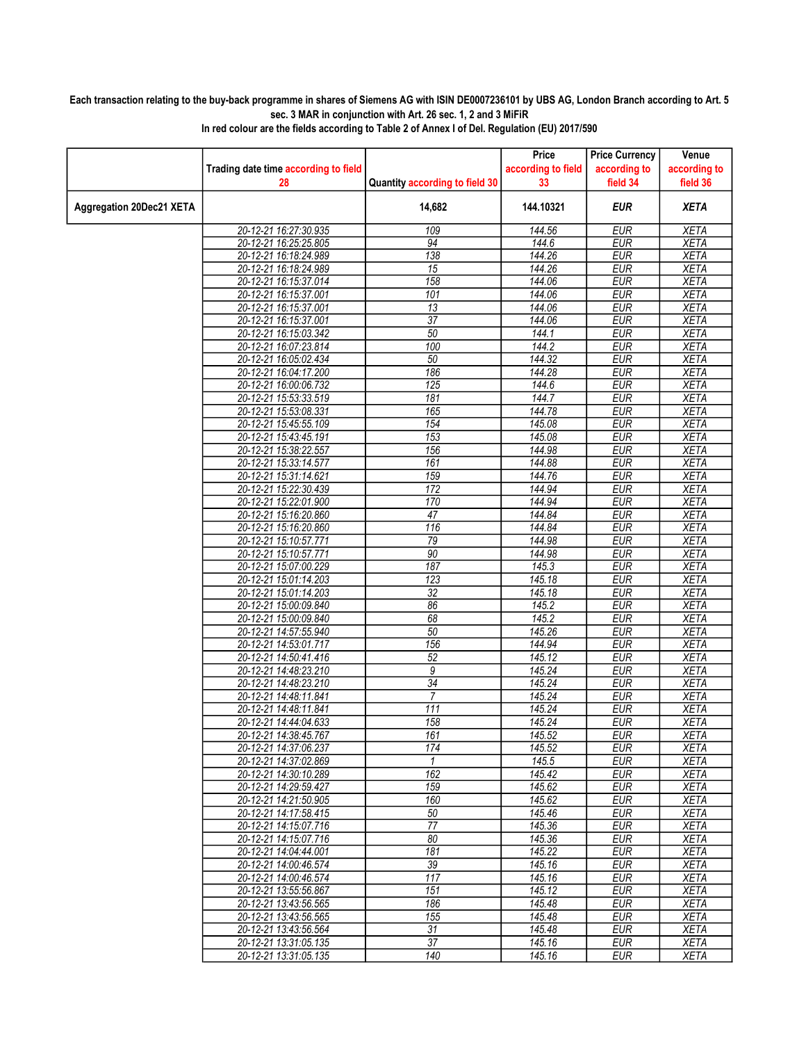## Each transaction relating to the buy-back programme in shares of Siemens AG with ISIN DE0007236101 by UBS AG, London Branch according to Art. 5 sec. 3 MAR in conjunction with Art. 26 sec. 1, 2 and 3 MiFiR

|                                 |                                                |                                | Price              | <b>Price Currency</b>    | Venue                      |
|---------------------------------|------------------------------------------------|--------------------------------|--------------------|--------------------------|----------------------------|
|                                 | Trading date time according to field           |                                | according to field | according to             | according to               |
|                                 | 28                                             | Quantity according to field 30 | 33                 | field 34                 | field 36                   |
| <b>Aggregation 20Dec21 XETA</b> |                                                | 14,682                         | 144.10321          | <b>EUR</b>               | <b>XETA</b>                |
|                                 | 20-12-21 16:27:30.935                          | 109                            | 144.56             | <b>EUR</b>               | <b>XETA</b>                |
|                                 | 20-12-21 16:25:25.805                          | $\overline{94}$                | 144.6              | <b>EUR</b>               | <b>XETA</b>                |
|                                 | 20-12-21 16:18:24.989                          | 138                            | 144.26             | <b>EUR</b>               | <b>XETA</b>                |
|                                 | 20-12-21 16:18:24.989                          | 15                             | 144.26             | <b>EUR</b>               | <b>XETA</b>                |
|                                 | 20-12-21 16:15:37.014                          | 158                            | 144.06             | <b>EUR</b>               | <b>XETA</b>                |
|                                 | 20-12-21 16:15:37.001                          | 101                            | 144.06             | <b>EUR</b>               | <b>XETA</b>                |
|                                 | 20-12-21 16:15:37.001                          | 13                             | 144.06             | <b>EUR</b>               | <b>XETA</b>                |
|                                 | 20-12-21 16:15:37.001                          | $\overline{37}$                | 144.06             | <b>EUR</b>               | <b>XETA</b>                |
|                                 | 20-12-21 16:15:03.342                          | 50                             | 144.1              | <b>EUR</b>               | <b>XETA</b>                |
|                                 | 20-12-21 16:07:23.814<br>20-12-21 16:05:02.434 | 100<br>50                      | 144.2<br>144.32    | <b>EUR</b><br><b>EUR</b> | <b>XETA</b><br><b>XETA</b> |
|                                 | 20-12-21 16:04:17.200                          | 186                            | 144.28             | <b>EUR</b>               | <b>XETA</b>                |
|                                 | 20-12-21 16:00:06.732                          | 125                            | 144.6              | <b>EUR</b>               | <b>XETA</b>                |
|                                 | 20-12-21 15:53:33.519                          | 181                            | 144.7              | <b>EUR</b>               | <b>XETA</b>                |
|                                 | 20-12-21 15:53:08.331                          | 165                            | 144.78             | <b>EUR</b>               | <b>XETA</b>                |
|                                 | 20-12-21 15:45:55.109                          | 154                            | 145.08             | <b>EUR</b>               | <b>XETA</b>                |
|                                 | 20-12-21 15:43:45.191                          | 153                            | 145.08             | <b>EUR</b>               | <b>XETA</b>                |
|                                 | 20-12-21 15:38:22.557                          | 156                            | 144.98             | <b>EUR</b>               | <b>XETA</b>                |
|                                 | 20-12-21 15:33:14.577                          | 161                            | 144.88             | <b>EUR</b>               | <b>XETA</b>                |
|                                 | 20-12-21 15:31:14.621                          | 159                            | 144.76             | <b>EUR</b>               | <b>XETA</b>                |
|                                 | 20-12-21 15:22:30.439                          | 172                            | 144.94             | <b>EUR</b>               | <b>XETA</b>                |
|                                 | 20-12-21 15:22:01.900                          | 170                            | 144.94             | <b>EUR</b>               | <b>XETA</b>                |
|                                 | 20-12-21 15:16:20.860                          | 47                             | 144.84             | <b>EUR</b>               | <b>XETA</b>                |
|                                 | 20-12-21 15:16:20.860                          | 116                            | 144.84             | <b>EUR</b>               | <b>XETA</b>                |
|                                 | 20-12-21 15:10:57.771                          | 79                             | 144.98             | <b>EUR</b>               | <b>XETA</b>                |
|                                 | 20-12-21 15:10:57.771                          | 90                             | 144.98             | <b>EUR</b>               | <b>XETA</b>                |
|                                 | 20-12-21 15:07:00.229                          | 187                            | 145.3              | <b>EUR</b>               | <b>XETA</b>                |
|                                 | 20-12-21 15:01:14.203                          | 123                            | 145.18             | <b>EUR</b>               | <b>XETA</b>                |
|                                 | 20-12-21 15:01:14.203                          | 32                             | 145.18             | <b>EUR</b>               | <b>XETA</b>                |
|                                 | 20-12-21 15:00:09.840                          | 86                             | 145.2              | <b>EUR</b>               | <b>XETA</b>                |
|                                 | 20-12-21 15:00:09.840                          | 68                             | 145.2              | <b>EUR</b>               | <b>XETA</b>                |
|                                 | 20-12-21 14:57:55.940                          | 50                             | 145.26             | <b>EUR</b>               | <b>XETA</b>                |
|                                 | 20-12-21 14:53:01.717                          | 156                            | 144.94             | <b>EUR</b>               | <b>XETA</b>                |
|                                 | 20-12-21 14:50:41.416                          | $\overline{52}$                | 145.12             | <b>EUR</b>               | <b>XETA</b>                |
|                                 | 20-12-21 14:48:23.210                          | 9<br>$\overline{34}$           | 145.24             | <b>EUR</b>               | <b>XETA</b>                |
|                                 | 20-12-21 14:48:23.210<br>20-12-21 14:48:11.841 | $\overline{7}$                 | 145.24<br>145.24   | <b>EUR</b><br><b>EUR</b> | <b>XETA</b><br><b>XETA</b> |
|                                 | 20-12-21 14:48:11.841                          | 111                            | 145.24             | <b>EUR</b>               | <b>XETA</b>                |
|                                 | 20-12-21 14:44:04.633                          | 158                            | 145.24             | <b>EUR</b>               | <b>XETA</b>                |
|                                 | 20-12-21 14:38:45.767                          | 161                            | 145.52             | <b>EUR</b>               | <b>XETA</b>                |
|                                 | 20-12-21 14:37:06.237                          | 174                            | 145.52             | <b>EUR</b>               | <b>XETA</b>                |
|                                 | 20-12-21 14:37:02.869                          | 1                              | 145.5              | <b>EUR</b>               | <b>XETA</b>                |
|                                 | 20-12-21 14:30:10.289                          | 162                            | 145.42             | <b>EUR</b>               | <b>XETA</b>                |
|                                 | 20-12-21 14:29:59.427                          | 159                            | 145.62             | <b>EUR</b>               | <b>XETA</b>                |
|                                 | 20-12-21 14:21:50.905                          | 160                            | 145.62             | <b>EUR</b>               | <b>XETA</b>                |
|                                 | 20-12-21 14:17:58.415                          | 50                             | 145.46             | <b>EUR</b>               | <b>XETA</b>                |
|                                 | 20-12-21 14:15:07.716                          | $\overline{77}$                | 145.36             | <b>EUR</b>               | <b>XETA</b>                |
|                                 | 20-12-21 14:15:07.716                          | 80                             | 145.36             | <b>EUR</b>               | <b>XETA</b>                |
|                                 | 20-12-21 14:04:44.001                          | 181                            | 145.22             | <b>EUR</b>               | XETA                       |
|                                 | 20-12-21 14:00:46.574                          | $\overline{39}$                | 145.16             | <b>EUR</b>               | <b>XETA</b>                |
|                                 | 20-12-21 14:00:46.574                          | 117                            | 145.16             | <b>EUR</b>               | <b>XETA</b>                |
|                                 | 20-12-21 13:55:56.867                          | 151                            | 145.12             | <b>EUR</b>               | <b>XETA</b>                |
|                                 | 20-12-21 13:43:56.565                          | 186                            | 145.48             | <b>EUR</b>               | <b>XETA</b>                |
|                                 | 20-12-21 13:43:56.565                          | 155                            | 145.48             | <b>EUR</b>               | <b>XETA</b>                |
|                                 | 20-12-21 13:43:56.564                          | 31<br>$\overline{37}$          | 145.48             | <b>EUR</b>               | <b>XETA</b>                |
|                                 | 20-12-21 13:31:05.135<br>20-12-21 13:31:05.135 | 140                            | 145.16<br>145.16   | <b>EUR</b><br><b>EUR</b> | <b>XETA</b><br><b>XETA</b> |
|                                 |                                                |                                |                    |                          |                            |

In red colour are the fields according to Table 2 of Annex I of Del. Regulation (EU) 2017/590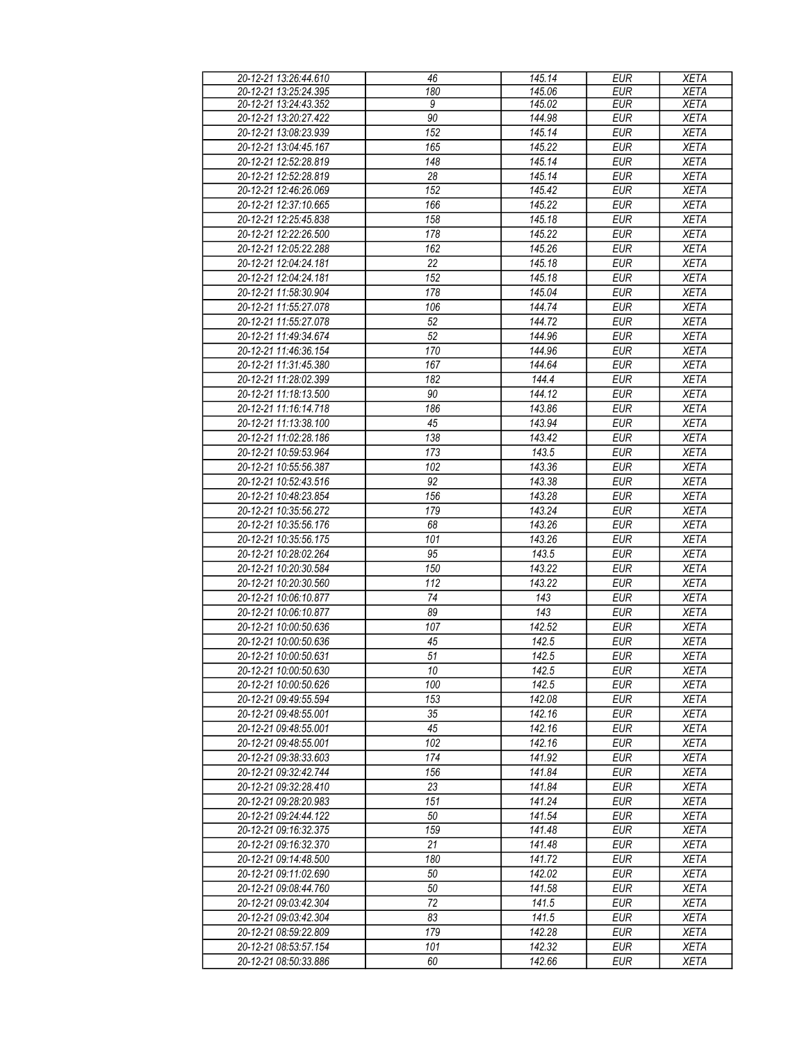| 20-12-21 13:26:44.610 | 46               | 145.14 | <b>EUR</b> | <b>XETA</b> |
|-----------------------|------------------|--------|------------|-------------|
| 20-12-21 13:25:24.395 | 180              | 145.06 | EUR        | <b>XETA</b> |
| 20-12-21 13:24:43.352 | 9                | 145.02 | <b>EUR</b> | <b>XETA</b> |
| 20-12-21 13:20:27.422 | 90               | 144.98 | <b>EUR</b> | <b>XETA</b> |
| 20-12-21 13:08:23.939 | $\overline{152}$ | 145.14 | <b>EUR</b> | <b>XETA</b> |
| 20-12-21 13:04:45.167 | 165              | 145.22 | <b>EUR</b> | <b>XETA</b> |
| 20-12-21 12:52:28.819 | 148              | 145.14 | <b>EUR</b> | <b>XETA</b> |
| 20-12-21 12:52:28.819 | 28               | 145.14 | <b>EUR</b> | <b>XETA</b> |
|                       |                  |        |            |             |
| 20-12-21 12:46:26.069 | 152              | 145.42 | <b>EUR</b> | <b>XETA</b> |
| 20-12-21 12:37:10.665 | 166              | 145.22 | <b>EUR</b> | <b>XETA</b> |
| 20-12-21 12:25:45.838 | 158              | 145.18 | <b>EUR</b> | <b>XETA</b> |
| 20-12-21 12:22:26.500 | 178              | 145.22 | <b>EUR</b> | <b>XETA</b> |
| 20-12-21 12:05:22.288 | 162              | 145.26 | <b>EUR</b> | <b>XETA</b> |
| 20-12-21 12:04:24.181 | $\overline{22}$  | 145.18 | <b>EUR</b> | <b>XETA</b> |
| 20-12-21 12:04:24.181 | 152              | 145.18 | <b>EUR</b> | <b>XETA</b> |
| 20-12-21 11:58:30.904 | 178              | 145.04 | <b>EUR</b> | <b>XETA</b> |
| 20-12-21 11:55:27.078 | 106              | 144.74 | <b>EUR</b> | <b>XETA</b> |
| 20-12-21 11:55:27.078 | 52               | 144.72 | <b>EUR</b> | <b>XETA</b> |
| 20-12-21 11:49:34.674 | 52               | 144.96 | <b>EUR</b> | <b>XETA</b> |
| 20-12-21 11:46:36.154 | 170              | 144.96 | <b>EUR</b> | <b>XETA</b> |
|                       |                  |        |            |             |
| 20-12-21 11:31:45.380 | 167              | 144.64 | <b>EUR</b> | <b>XETA</b> |
| 20-12-21 11:28:02.399 | 182              | 144.4  | <b>EUR</b> | <b>XETA</b> |
| 20-12-21 11:18:13.500 | 90               | 144.12 | <b>EUR</b> | <b>XETA</b> |
| 20-12-21 11:16:14.718 | 186              | 143.86 | <b>EUR</b> | <b>XETA</b> |
| 20-12-21 11:13:38.100 | 45               | 143.94 | <b>EUR</b> | <b>XETA</b> |
| 20-12-21 11:02:28.186 | 138              | 143.42 | <b>EUR</b> | <b>XETA</b> |
| 20-12-21 10:59:53.964 | 173              | 143.5  | <b>EUR</b> | <b>XETA</b> |
| 20-12-21 10:55:56.387 | 102              | 143.36 | <b>EUR</b> | <b>XETA</b> |
| 20-12-21 10:52:43.516 | 92               | 143.38 | <b>EUR</b> | <b>XETA</b> |
| 20-12-21 10:48:23.854 | 156              | 143.28 | <b>EUR</b> | <b>XETA</b> |
| 20-12-21 10:35:56.272 | 179              | 143.24 | <b>EUR</b> | <b>XETA</b> |
| 20-12-21 10:35:56.176 | 68               | 143.26 | <b>EUR</b> | <b>XETA</b> |
| 20-12-21 10:35:56.175 | 101              | 143.26 | <b>EUR</b> | <b>XETA</b> |
|                       | 95               |        |            |             |
| 20-12-21 10:28:02.264 |                  | 143.5  | <b>EUR</b> | <b>XETA</b> |
| 20-12-21 10:20:30.584 | 150              | 143.22 | <b>EUR</b> | <b>XETA</b> |
| 20-12-21 10:20:30.560 | 112              | 143.22 | <b>EUR</b> | <b>XETA</b> |
| 20-12-21 10:06:10.877 | 74               | 143    | <b>EUR</b> | <b>XETA</b> |
| 20-12-21 10:06:10.877 | 89               | 143    | <b>EUR</b> | <b>XETA</b> |
| 20-12-21 10:00:50.636 | 107              | 142.52 | <b>EUR</b> | <b>XETA</b> |
| 20-12-21 10:00:50.636 | 45               | 142.5  | <b>EUR</b> | <b>XETA</b> |
| 20-12-21 10:00:50.631 | 51               | 142.5  | EUR        | <b>XETA</b> |
| 20-12-21 10:00:50.630 | 10               | 142.5  | <b>EUR</b> | <b>XETA</b> |
| 20-12-21 10:00:50.626 | 100              | 142.5  | <b>EUR</b> | <b>XETA</b> |
| 20-12-21 09:49:55.594 | 153              | 142.08 | <b>EUR</b> | <b>XETA</b> |
| 20-12-21 09:48:55.001 | 35               | 142.16 | <b>EUR</b> | <b>XETA</b> |
| 20-12-21 09:48:55.001 | 45               | 142.16 | <b>EUR</b> | <b>XETA</b> |
| 20-12-21 09:48:55.001 | 102              | 142.16 | <b>EUR</b> | <b>XETA</b> |
| 20-12-21 09:38:33.603 | 174              | 141.92 | <b>EUR</b> | <b>XETA</b> |
|                       |                  |        |            |             |
| 20-12-21 09:32:42.744 | 156              | 141.84 | <b>EUR</b> | <b>XETA</b> |
| 20-12-21 09:32:28.410 | 23               | 141.84 | <b>EUR</b> | <b>XETA</b> |
| 20-12-21 09:28:20.983 | 151              | 141.24 | <b>EUR</b> | <b>XETA</b> |
| 20-12-21 09:24:44.122 | 50               | 141.54 | <b>EUR</b> | <b>XETA</b> |
| 20-12-21 09:16:32.375 | 159              | 141.48 | <b>EUR</b> | <b>XETA</b> |
| 20-12-21 09:16:32.370 | 21               | 141.48 | <b>EUR</b> | <b>XETA</b> |
| 20-12-21 09:14:48.500 | 180              | 141.72 | <b>EUR</b> | <b>XETA</b> |
| 20-12-21 09:11:02.690 | 50               | 142.02 | <b>EUR</b> | <b>XETA</b> |
| 20-12-21 09:08:44.760 | 50               | 141.58 | <b>EUR</b> | <b>XETA</b> |
| 20-12-21 09:03:42.304 | 72               | 141.5  | <b>EUR</b> | <b>XETA</b> |
| 20-12-21 09:03:42.304 | 83               | 141.5  | <b>EUR</b> | <b>XETA</b> |
| 20-12-21 08:59:22.809 | 179              | 142.28 | <b>EUR</b> | <b>XETA</b> |
|                       |                  |        |            |             |
| 20-12-21 08:53:57.154 | 101              | 142.32 | <b>EUR</b> | <b>XETA</b> |
| 20-12-21 08:50:33.886 | 60               | 142.66 | <b>EUR</b> | <b>XETA</b> |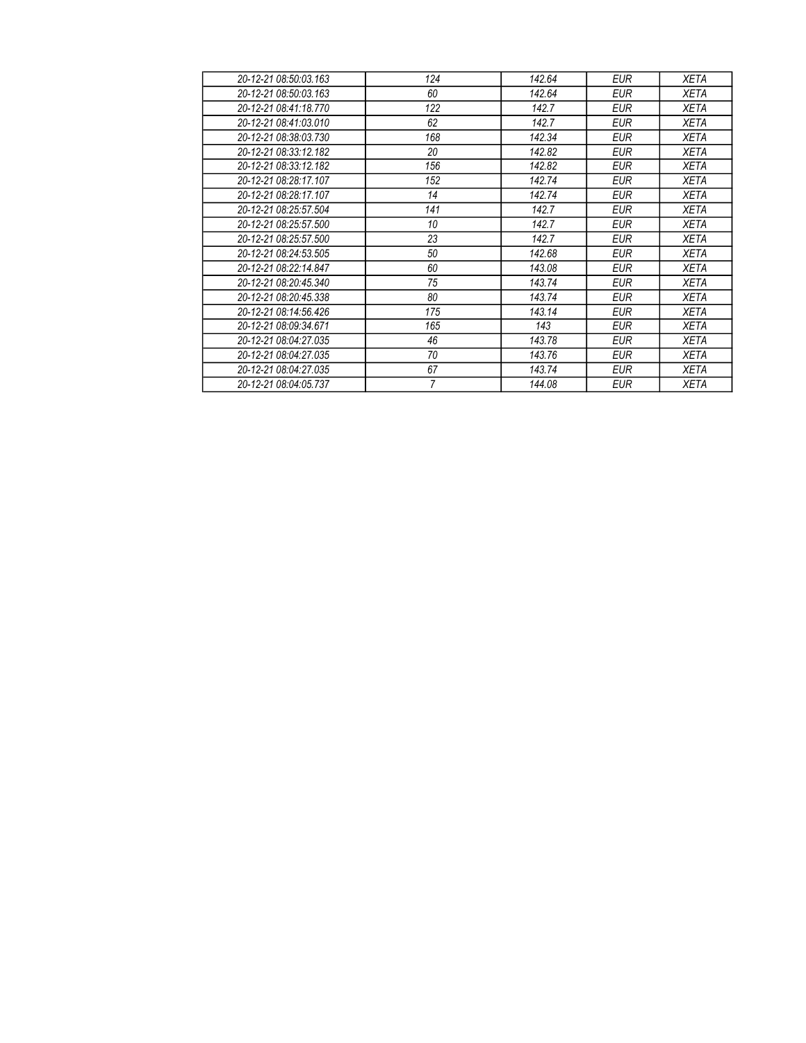| 20-12-21 08:50:03.163 | 124              | 142.64 | <b>EUR</b> | <b>XETA</b> |
|-----------------------|------------------|--------|------------|-------------|
| 20-12-21 08:50:03.163 | 60               | 142.64 | <b>EUR</b> | <b>XETA</b> |
| 20-12-21 08:41:18.770 | 122              | 142.7  | <b>EUR</b> | <b>XETA</b> |
| 20-12-21 08:41:03.010 | 62               | 142.7  | <b>EUR</b> | <b>XETA</b> |
| 20-12-21 08:38:03.730 | 168              | 142.34 | EUR        | <b>XETA</b> |
| 20-12-21 08:33:12.182 | 20               | 142.82 | EUR        | <b>XETA</b> |
| 20-12-21 08:33:12.182 | 156              | 142.82 | EUR        | <b>XETA</b> |
| 20-12-21 08:28:17.107 | 152              | 142.74 | <b>EUR</b> | <b>XETA</b> |
| 20-12-21 08:28:17.107 | 14               | 142.74 | EUR        | <b>XETA</b> |
| 20-12-21 08:25:57.504 | 141              | 142.7  | EUR        | <b>XETA</b> |
| 20-12-21 08:25:57.500 | 10 <sup>10</sup> | 142.7  | <b>EUR</b> | <b>XETA</b> |
| 20-12-21 08:25:57.500 | 23               | 142.7  | EUR        | <b>XETA</b> |
| 20-12-21 08:24:53.505 | 50               | 142.68 | EUR        | <b>XETA</b> |
| 20-12-21 08:22:14.847 | 60               | 143.08 | EUR        | <b>XETA</b> |
| 20-12-21 08:20:45.340 | 75               | 143.74 | EUR        | <b>XETA</b> |
| 20-12-21 08:20:45.338 | 80               | 143.74 | <b>EUR</b> | <b>XETA</b> |
| 20-12-21 08:14:56.426 | 175              | 143.14 | EUR        | <b>XETA</b> |
| 20-12-21 08:09:34.671 | 165              | 143    | EUR        | <b>XETA</b> |
| 20-12-21 08:04:27.035 | 46               | 143.78 | EUR        | <b>XETA</b> |
| 20-12-21 08:04:27.035 | 70               | 143.76 | EUR        | <b>XETA</b> |
| 20-12-21 08:04:27.035 | 67               | 143.74 | EUR        | <b>XETA</b> |
| 20-12-21 08:04:05.737 | $\overline{7}$   | 144.08 | <b>EUR</b> | <b>XETA</b> |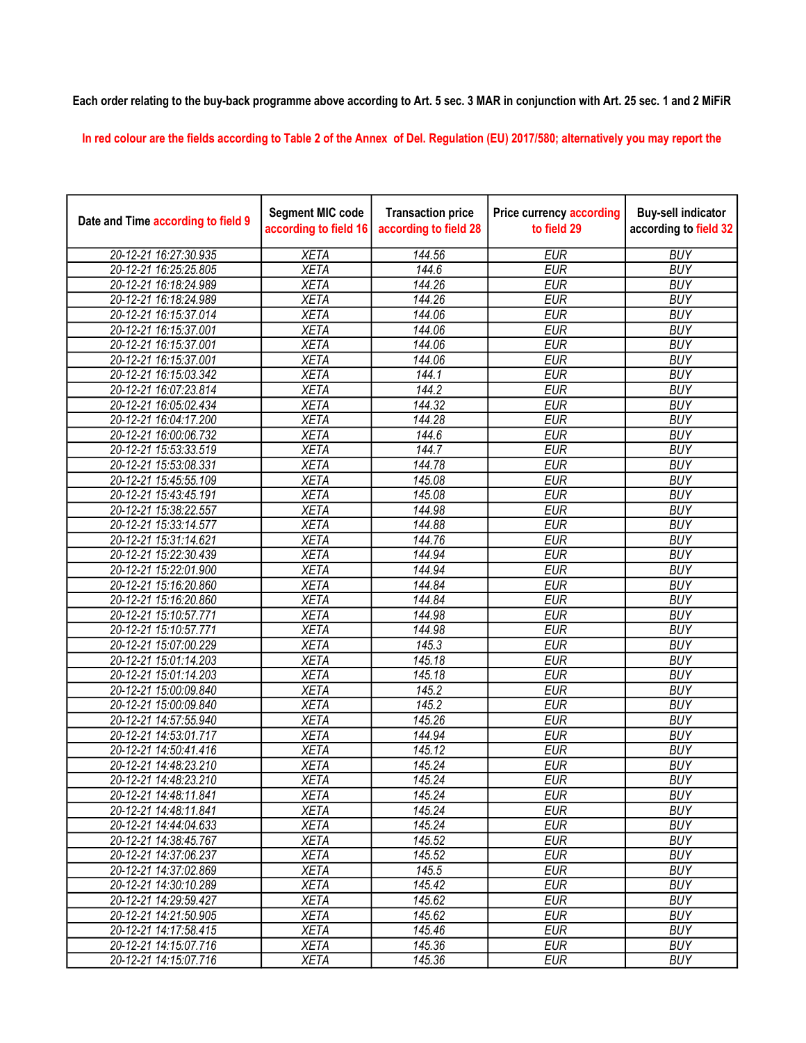## Each order relating to the buy-back programme above according to Art. 5 sec. 3 MAR in conjunction with Art. 25 sec. 1 and 2 MiFiR

In red colour are the fields according to Table 2 of the Annex of Del. Regulation (EU) 2017/580; alternatively you may report the

| Date and Time according to field 9 | <b>Segment MIC code</b><br>according to field 16 | <b>Transaction price</b><br>according to field 28 | <b>Price currency according</b><br>to field 29 | <b>Buy-sell indicator</b><br>according to field 32 |
|------------------------------------|--------------------------------------------------|---------------------------------------------------|------------------------------------------------|----------------------------------------------------|
| 20-12-21 16:27:30.935              | <b>XETA</b>                                      | 144.56                                            | <b>EUR</b>                                     | <b>BUY</b>                                         |
| 20-12-21 16:25:25.805              | <b>XETA</b>                                      | 144.6                                             | <b>EUR</b>                                     | <b>BUY</b>                                         |
| 20-12-21 16:18:24.989              | <b>XETA</b>                                      | 144.26                                            | <b>EUR</b>                                     | <b>BUY</b>                                         |
| 20-12-21 16:18:24.989              | <b>XETA</b>                                      | 144.26                                            | <b>EUR</b>                                     | <b>BUY</b>                                         |
| 20-12-21 16:15:37.014              | <b>XETA</b>                                      | 144.06                                            | <b>EUR</b>                                     | <b>BUY</b>                                         |
| 20-12-21 16:15:37.001              | <b>XETA</b>                                      | 144.06                                            | <b>EUR</b>                                     | <b>BUY</b>                                         |
| 20-12-21 16:15:37.001              | <b>XETA</b>                                      | 144.06                                            | <b>EUR</b>                                     | <b>BUY</b>                                         |
| 20-12-21 16:15:37.001              | <b>XETA</b>                                      | 144.06                                            | <b>EUR</b>                                     | <b>BUY</b>                                         |
| 20-12-21 16:15:03.342              | <b>XETA</b>                                      | 144.1                                             | <b>EUR</b>                                     | <b>BUY</b>                                         |
| 20-12-21 16:07:23.814              | <b>XETA</b>                                      | 144.2                                             | <b>EUR</b>                                     | <b>BUY</b>                                         |
| 20-12-21 16:05:02.434              | <b>XETA</b>                                      | 144.32                                            | <b>EUR</b>                                     | <b>BUY</b>                                         |
| 20-12-21 16:04:17.200              | <b>XETA</b>                                      | 144.28                                            | <b>EUR</b>                                     | <b>BUY</b>                                         |
| 20-12-21 16:00:06.732              | <b>XETA</b>                                      | 144.6                                             | <b>EUR</b>                                     | <b>BUY</b>                                         |
| 20-12-21 15:53:33.519              | <b>XETA</b>                                      | 144.7                                             | <b>EUR</b>                                     | <b>BUY</b>                                         |
| 20-12-21 15:53:08.331              | <b>XETA</b>                                      | 144.78                                            | <b>EUR</b>                                     | <b>BUY</b>                                         |
| 20-12-21 15:45:55.109              | <b>XETA</b>                                      | 145.08                                            | <b>EUR</b>                                     | <b>BUY</b>                                         |
| 20-12-21 15:43:45.191              | <b>XETA</b>                                      | 145.08                                            | <b>EUR</b>                                     | <b>BUY</b>                                         |
| 20-12-21 15:38:22.557              | <b>XETA</b>                                      | 144.98                                            | <b>EUR</b>                                     | <b>BUY</b>                                         |
| 20-12-21 15:33:14.577              | <b>XETA</b>                                      | 144.88                                            | <b>EUR</b>                                     | <b>BUY</b>                                         |
| 20-12-21 15:31:14.621              | <b>XETA</b>                                      | 144.76                                            | <b>EUR</b>                                     | <b>BUY</b>                                         |
| 20-12-21 15:22:30.439              | <b>XETA</b>                                      | 144.94                                            | <b>EUR</b>                                     | <b>BUY</b>                                         |
| 20-12-21 15:22:01.900              | <b>XETA</b>                                      | 144.94                                            | <b>EUR</b>                                     | <b>BUY</b>                                         |
| 20-12-21 15:16:20.860              | <b>XETA</b>                                      | 144.84                                            | <b>EUR</b>                                     | <b>BUY</b>                                         |
| 20-12-21 15:16:20.860              | <b>XETA</b>                                      | 144.84                                            | <b>EUR</b>                                     | <b>BUY</b>                                         |
| 20-12-21 15:10:57.771              | <b>XETA</b>                                      | 144.98                                            | <b>EUR</b>                                     | <b>BUY</b>                                         |
| 20-12-21 15:10:57.771              | <b>XETA</b>                                      | 144.98                                            | <b>EUR</b>                                     | <b>BUY</b>                                         |
| 20-12-21 15:07:00.229              | <b>XETA</b>                                      | 145.3                                             | <b>EUR</b>                                     | <b>BUY</b>                                         |
| 20-12-21 15:01:14.203              | <b>XETA</b>                                      | 145.18                                            | <b>EUR</b>                                     | <b>BUY</b>                                         |
| 20-12-21 15:01:14.203              | <b>XETA</b>                                      | 145.18                                            | <b>EUR</b>                                     | <b>BUY</b>                                         |
| 20-12-21 15:00:09.840              | <b>XETA</b>                                      | 145.2                                             | <b>EUR</b>                                     | <b>BUY</b>                                         |
| 20-12-21 15:00:09.840              | <b>XETA</b>                                      | 145.2                                             | <b>EUR</b>                                     | <b>BUY</b>                                         |
| 20-12-21 14:57:55.940              | <b>XETA</b>                                      | 145.26                                            | <b>EUR</b>                                     | <b>BUY</b>                                         |
| 20-12-21 14:53:01.717              | <b>XETA</b>                                      | 144.94                                            | <b>EUR</b>                                     | <b>BUY</b>                                         |
| 20-12-21 14:50:41.416              | <b>XETA</b>                                      | 145.12                                            | <b>EUR</b>                                     | <b>BUY</b>                                         |
| 20-12-21 14:48:23.210              | <b>XETA</b>                                      | 145.24                                            | <b>EUR</b>                                     | <b>BUY</b>                                         |
| 20-12-21 14:48:23.210              | XETA                                             | 145.24                                            | <b>EUR</b>                                     | <b>BUY</b>                                         |
| 20-12-21 14:48:11.841              | <b>XETA</b>                                      | 145.24                                            | <b>EUR</b>                                     | <b>BUY</b>                                         |
| 20-12-21 14:48:11.841              | <b>XETA</b>                                      | 145.24                                            | <b>EUR</b>                                     | <b>BUY</b>                                         |
| 20-12-21 14:44:04.633              | <b>XETA</b>                                      | 145.24                                            | <b>EUR</b>                                     | <b>BUY</b>                                         |
| 20-12-21 14:38:45.767              | <b>XETA</b>                                      | 145.52                                            | <b>EUR</b>                                     | <b>BUY</b>                                         |
| 20-12-21 14:37:06.237              | <b>XETA</b>                                      | 145.52                                            | <b>EUR</b>                                     | <b>BUY</b>                                         |
| 20-12-21 14:37:02.869              | <b>XETA</b>                                      | 145.5                                             | <b>EUR</b>                                     | <b>BUY</b>                                         |
| 20-12-21 14:30:10.289              | <b>XETA</b>                                      | 145.42                                            | <b>EUR</b>                                     | <b>BUY</b>                                         |
| 20-12-21 14:29:59.427              | <b>XETA</b>                                      | 145.62                                            | <b>EUR</b>                                     | <b>BUY</b>                                         |
| 20-12-21 14:21:50.905              | <b>XETA</b>                                      | 145.62                                            | <b>EUR</b>                                     | <b>BUY</b>                                         |
| 20-12-21 14:17:58.415              | <b>XETA</b>                                      | 145.46                                            | <b>EUR</b>                                     | <b>BUY</b>                                         |
| 20-12-21 14:15:07.716              | <b>XETA</b>                                      | 145.36                                            | <b>EUR</b>                                     | <b>BUY</b>                                         |
| 20-12-21 14:15:07.716              | <b>XETA</b>                                      | 145.36                                            | <b>EUR</b>                                     | <b>BUY</b>                                         |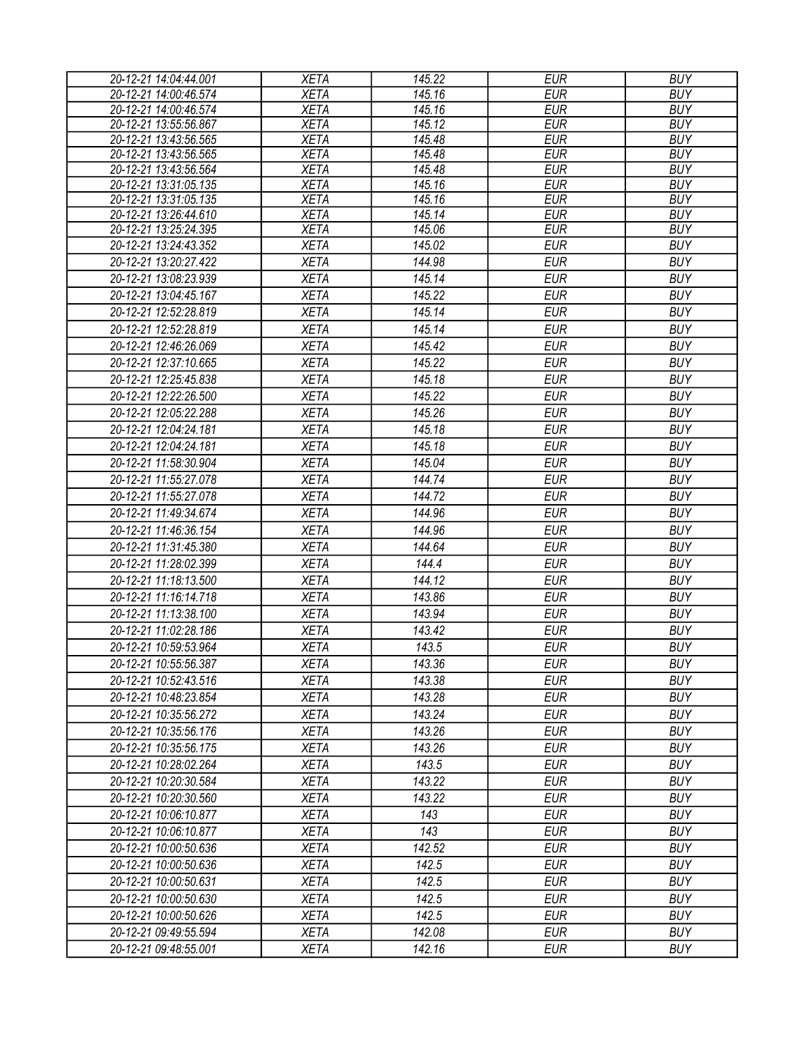| 20-12-21 14:04:44.001 | <b>XETA</b> | 145.22 | <b>EUR</b> | <b>BUY</b> |
|-----------------------|-------------|--------|------------|------------|
| 20-12-21 14:00:46.574 | <b>XETA</b> | 145.16 | <b>EUR</b> | <b>BUY</b> |
| 20-12-21 14:00:46.574 | <b>XETA</b> | 145.16 | <b>EUR</b> | <b>BUY</b> |
| 20-12-21 13:55:56.867 | <b>XETA</b> | 145.12 | <b>EUR</b> | <b>BUY</b> |
| 20-12-21 13:43:56.565 | <b>XETA</b> | 145.48 | <b>EUR</b> | <b>BUY</b> |
| 20-12-21 13:43:56.565 | <b>XETA</b> | 145.48 | <b>EUR</b> | <b>BUY</b> |
| 20-12-21 13:43:56.564 | <b>XETA</b> | 145.48 | <b>EUR</b> | <b>BUY</b> |
| 20-12-21 13:31:05.135 | <b>XETA</b> | 145.16 | <b>EUR</b> | <b>BUY</b> |
| 20-12-21 13:31:05.135 | <b>XETA</b> | 145.16 | <b>EUR</b> | <b>BUY</b> |
| 20-12-21 13:26:44.610 | <b>XETA</b> | 145.14 | <b>EUR</b> | <b>BUY</b> |
| 20-12-21 13:25:24.395 | <b>XETA</b> | 145.06 | <b>EUR</b> | <b>BUY</b> |
| 20-12-21 13:24:43.352 | <b>XETA</b> | 145.02 | <b>EUR</b> | <b>BUY</b> |
| 20-12-21 13:20:27.422 | <b>XETA</b> | 144.98 | <b>EUR</b> | <b>BUY</b> |
| 20-12-21 13:08:23.939 | <b>XETA</b> | 145.14 | <b>EUR</b> | <b>BUY</b> |
| 20-12-21 13:04:45.167 | <b>XETA</b> | 145.22 | <b>EUR</b> | <b>BUY</b> |
| 20-12-21 12:52:28.819 | <b>XETA</b> | 145.14 | <b>EUR</b> | <b>BUY</b> |
| 20-12-21 12:52:28.819 | <b>XETA</b> | 145.14 | <b>EUR</b> | <b>BUY</b> |
| 20-12-21 12:46:26.069 | <b>XETA</b> | 145.42 | <b>EUR</b> | <b>BUY</b> |
| 20-12-21 12:37:10.665 | <b>XETA</b> | 145.22 | <b>EUR</b> | <b>BUY</b> |
| 20-12-21 12:25:45.838 | <b>XETA</b> | 145.18 | <b>EUR</b> | <b>BUY</b> |
| 20-12-21 12:22:26.500 | <b>XETA</b> | 145.22 | <b>EUR</b> | <b>BUY</b> |
| 20-12-21 12:05:22.288 | <b>XETA</b> | 145.26 | <b>EUR</b> | <b>BUY</b> |
| 20-12-21 12:04:24.181 | <b>XETA</b> | 145.18 | <b>EUR</b> | <b>BUY</b> |
|                       |             | 145.18 | <b>EUR</b> | <b>BUY</b> |
| 20-12-21 12:04:24.181 | <b>XETA</b> |        |            |            |
| 20-12-21 11:58:30.904 | <b>XETA</b> | 145.04 | <b>EUR</b> | <b>BUY</b> |
| 20-12-21 11:55:27.078 | <b>XETA</b> | 144.74 | <b>EUR</b> | <b>BUY</b> |
| 20-12-21 11:55:27.078 | <b>XETA</b> | 144.72 | <b>EUR</b> | <b>BUY</b> |
| 20-12-21 11:49:34.674 | <b>XETA</b> | 144.96 | <b>EUR</b> | <b>BUY</b> |
| 20-12-21 11:46:36.154 | <b>XETA</b> | 144.96 | <b>EUR</b> | <b>BUY</b> |
| 20-12-21 11:31:45.380 | <b>XETA</b> | 144.64 | <b>EUR</b> | <b>BUY</b> |
| 20-12-21 11:28:02.399 | <b>XETA</b> | 144.4  | <b>EUR</b> | <b>BUY</b> |
| 20-12-21 11:18:13.500 | <b>XETA</b> | 144.12 | <b>EUR</b> | <b>BUY</b> |
| 20-12-21 11:16:14.718 | <b>XETA</b> | 143.86 | <b>EUR</b> | <b>BUY</b> |
| 20-12-21 11:13:38.100 | <b>XETA</b> | 143.94 | <b>EUR</b> | <b>BUY</b> |
| 20-12-21 11:02:28.186 | <b>XETA</b> | 143.42 | <b>EUR</b> | <b>BUY</b> |
| 20-12-21 10:59:53.964 | <b>XETA</b> | 143.5  | <b>EUR</b> | <b>BUY</b> |
| 20-12-21 10:55:56.387 | <b>XETA</b> | 143.36 | <b>EUR</b> | <b>BUY</b> |
| 20-12-21 10:52:43.516 | <b>XETA</b> | 143.38 | <b>EUR</b> | <b>BUY</b> |
| 20-12-21 10:48:23.854 | <b>XETA</b> | 143.28 | <b>EUR</b> | <b>BUY</b> |
| 20-12-21 10:35:56.272 | <b>XETA</b> | 143.24 | <b>EUR</b> | <b>BUY</b> |
| 20-12-21 10:35:56.176 | <b>XETA</b> | 143.26 | <b>EUR</b> | <b>BUY</b> |
| 20-12-21 10:35:56.175 | <b>XETA</b> | 143.26 | <b>EUR</b> | <b>BUY</b> |
| 20-12-21 10:28:02.264 | <b>XETA</b> | 143.5  | <b>EUR</b> | <b>BUY</b> |
| 20-12-21 10:20:30.584 | <b>XETA</b> | 143.22 | <b>EUR</b> | <b>BUY</b> |
| 20-12-21 10:20:30.560 | <b>XETA</b> | 143.22 | <b>EUR</b> | <b>BUY</b> |
| 20-12-21 10:06:10.877 | <b>XETA</b> | 143    | <b>EUR</b> | <b>BUY</b> |
| 20-12-21 10:06:10.877 | XETA        | 143    | <b>EUR</b> | <b>BUY</b> |
| 20-12-21 10:00:50.636 | <b>XETA</b> | 142.52 | <b>EUR</b> | <b>BUY</b> |
| 20-12-21 10:00:50.636 | <b>XETA</b> | 142.5  | <b>EUR</b> | <b>BUY</b> |
| 20-12-21 10:00:50.631 | <b>XETA</b> | 142.5  | <b>EUR</b> | <b>BUY</b> |
| 20-12-21 10:00:50.630 | <b>XETA</b> | 142.5  | <b>EUR</b> | <b>BUY</b> |
| 20-12-21 10:00:50.626 | <b>XETA</b> | 142.5  | <b>EUR</b> | <b>BUY</b> |
| 20-12-21 09:49:55.594 | <b>XETA</b> | 142.08 | <b>EUR</b> | <b>BUY</b> |
|                       |             |        |            | <b>BUY</b> |
| 20-12-21 09:48:55.001 | <b>XETA</b> | 142.16 | <b>EUR</b> |            |